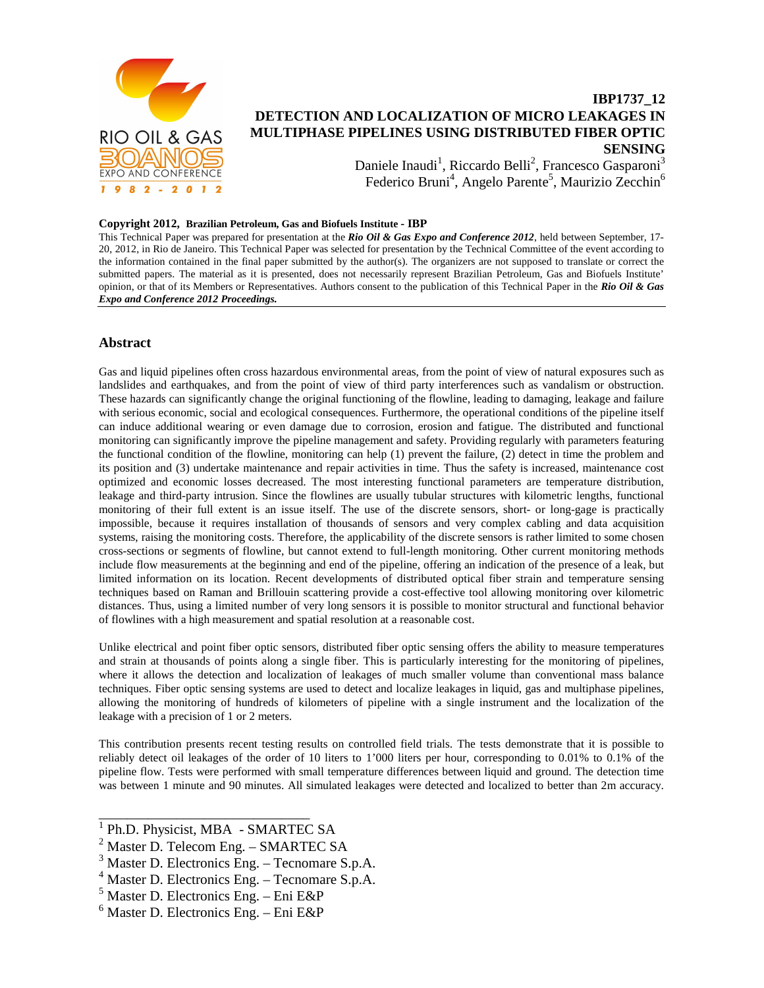

# **IBP1737\_12 DETECTION AND LOCALIZATION OF MICRO LEAKAGES IN MULTIPHASE PIPELINES USING DISTRIBUTED FIBER OPTIC SENSING**

Daniele Inaudi<sup>1</sup>, Riccardo Belli<sup>2</sup>, Francesco Gasparoni<sup>3</sup> Federico Bruni<sup>4</sup>, Angelo Parente<sup>5</sup>, Maurizio Zecchin<sup>6</sup>

#### **Copyright 2012, Brazilian Petroleum, Gas and Biofuels Institute - IBP**

This Technical Paper was prepared for presentation at the *Rio Oil & Gas Expo and Conference 2012*, held between September, 17- 20, 2012, in Rio de Janeiro. This Technical Paper was selected for presentation by the Technical Committee of the event according to the information contained in the final paper submitted by the author(s). The organizers are not supposed to translate or correct the submitted papers. The material as it is presented, does not necessarily represent Brazilian Petroleum, Gas and Biofuels Institute' opinion, or that of its Members or Representatives. Authors consent to the publication of this Technical Paper in the *Rio Oil & Gas Expo and Conference 2012 Proceedings.* 

#### **Abstract**

Gas and liquid pipelines often cross hazardous environmental areas, from the point of view of natural exposures such as landslides and earthquakes, and from the point of view of third party interferences such as vandalism or obstruction. These hazards can significantly change the original functioning of the flowline, leading to damaging, leakage and failure with serious economic, social and ecological consequences. Furthermore, the operational conditions of the pipeline itself can induce additional wearing or even damage due to corrosion, erosion and fatigue. The distributed and functional monitoring can significantly improve the pipeline management and safety. Providing regularly with parameters featuring the functional condition of the flowline, monitoring can help (1) prevent the failure, (2) detect in time the problem and its position and (3) undertake maintenance and repair activities in time. Thus the safety is increased, maintenance cost optimized and economic losses decreased. The most interesting functional parameters are temperature distribution, leakage and third-party intrusion. Since the flowlines are usually tubular structures with kilometric lengths, functional monitoring of their full extent is an issue itself. The use of the discrete sensors, short- or long-gage is practically impossible, because it requires installation of thousands of sensors and very complex cabling and data acquisition systems, raising the monitoring costs. Therefore, the applicability of the discrete sensors is rather limited to some chosen cross-sections or segments of flowline, but cannot extend to full-length monitoring. Other current monitoring methods include flow measurements at the beginning and end of the pipeline, offering an indication of the presence of a leak, but limited information on its location. Recent developments of distributed optical fiber strain and temperature sensing techniques based on Raman and Brillouin scattering provide a cost-effective tool allowing monitoring over kilometric distances. Thus, using a limited number of very long sensors it is possible to monitor structural and functional behavior of flowlines with a high measurement and spatial resolution at a reasonable cost.

Unlike electrical and point fiber optic sensors, distributed fiber optic sensing offers the ability to measure temperatures and strain at thousands of points along a single fiber. This is particularly interesting for the monitoring of pipelines, where it allows the detection and localization of leakages of much smaller volume than conventional mass balance techniques. Fiber optic sensing systems are used to detect and localize leakages in liquid, gas and multiphase pipelines, allowing the monitoring of hundreds of kilometers of pipeline with a single instrument and the localization of the leakage with a precision of 1 or 2 meters.

This contribution presents recent testing results on controlled field trials. The tests demonstrate that it is possible to reliably detect oil leakages of the order of 10 liters to 1'000 liters per hour, corresponding to 0.01% to 0.1% of the pipeline flow. Tests were performed with small temperature differences between liquid and ground. The detection time was between 1 minute and 90 minutes. All simulated leakages were detected and localized to better than 2m accuracy.

<sup>&</sup>lt;sup>1</sup> Ph.D. Physicist, MBA - SMARTEC SA

<sup>&</sup>lt;sup>2</sup> Master D. Telecom Eng. – SMARTEC SA<br><sup>3</sup> Master D. Electronics Eng. – Tecnomare S.p.A.

<sup>4</sup> Master D. Electronics Eng. – Tecnomare S.p.A.

<sup>5</sup> Master D. Electronics Eng. – Eni E&P

<sup>6</sup> Master D. Electronics Eng. – Eni E&P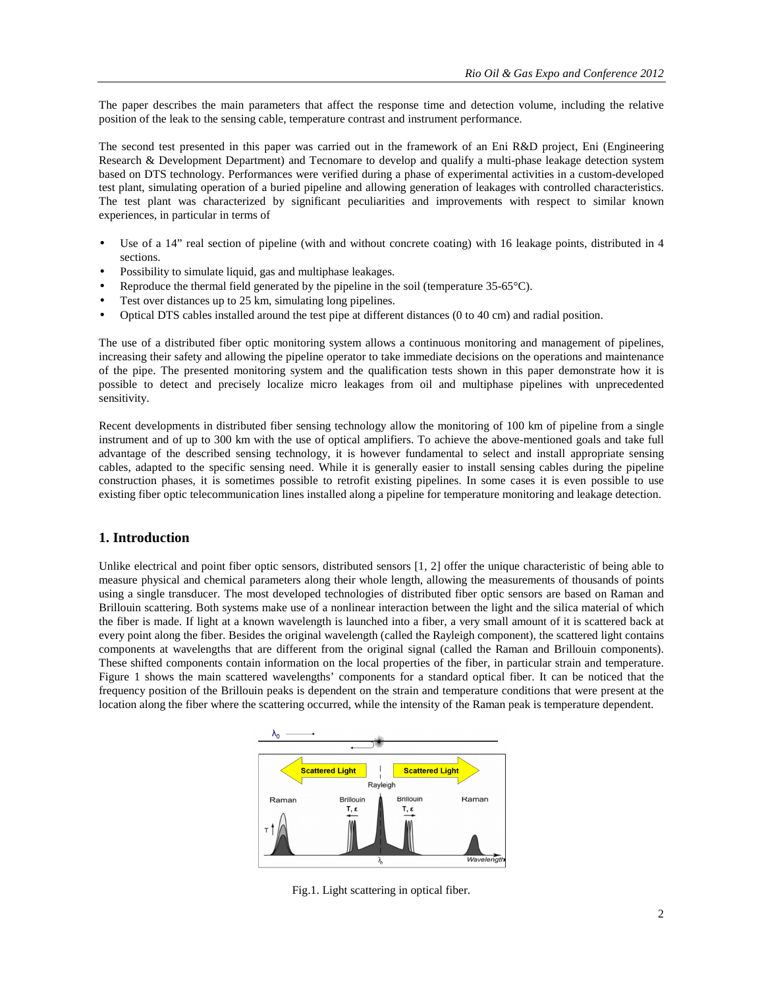The paper describes the main parameters that affect the response time and detection volume, including the relative position of the leak to the sensing cable, temperature contrast and instrument performance.

The second test presented in this paper was carried out in the framework of an Eni R&D project, Eni (Engineering Research & Development Department) and Tecnomare to develop and qualify a multi-phase leakage detection system based on DTS technology. Performances were verified during a phase of experimental activities in a custom-developed test plant, simulating operation of a buried pipeline and allowing generation of leakages with controlled characteristics. The test plant was characterized by significant peculiarities and improvements with respect to similar known experiences, in particular in terms of

- Use of a 14" real section of pipeline (with and without concrete coating) with 16 leakage points, distributed in 4 sections.
- Possibility to simulate liquid, gas and multiphase leakages.
- Reproduce the thermal field generated by the pipeline in the soil (temperature  $35-65^{\circ}$ C).
- Test over distances up to 25 km, simulating long pipelines.
- Optical DTS cables installed around the test pipe at different distances (0 to 40 cm) and radial position.

The use of a distributed fiber optic monitoring system allows a continuous monitoring and management of pipelines, increasing their safety and allowing the pipeline operator to take immediate decisions on the operations and maintenance of the pipe. The presented monitoring system and the qualification tests shown in this paper demonstrate how it is possible to detect and precisely localize micro leakages from oil and multiphase pipelines with unprecedented sensitivity.

Recent developments in distributed fiber sensing technology allow the monitoring of 100 km of pipeline from a single instrument and of up to 300 km with the use of optical amplifiers. To achieve the above-mentioned goals and take full advantage of the described sensing technology, it is however fundamental to select and install appropriate sensing cables, adapted to the specific sensing need. While it is generally easier to install sensing cables during the pipeline construction phases, it is sometimes possible to retrofit existing pipelines. In some cases it is even possible to use existing fiber optic telecommunication lines installed along a pipeline for temperature monitoring and leakage detection.

### **1. Introduction**

Unlike electrical and point fiber optic sensors, distributed sensors [1, 2] offer the unique characteristic of being able to measure physical and chemical parameters along their whole length, allowing the measurements of thousands of points using a single transducer. The most developed technologies of distributed fiber optic sensors are based on Raman and Brillouin scattering. Both systems make use of a nonlinear interaction between the light and the silica material of which the fiber is made. If light at a known wavelength is launched into a fiber, a very small amount of it is scattered back at every point along the fiber. Besides the original wavelength (called the Rayleigh component), the scattered light contains components at wavelengths that are different from the original signal (called the Raman and Brillouin components). These shifted components contain information on the local properties of the fiber, in particular strain and temperature. Figure 1 shows the main scattered wavelengths' components for a standard optical fiber. It can be noticed that the frequency position of the Brillouin peaks is dependent on the strain and temperature conditions that were present at the location along the fiber where the scattering occurred, while the intensity of the Raman peak is temperature dependent.



Fig.1. Light scattering in optical fiber.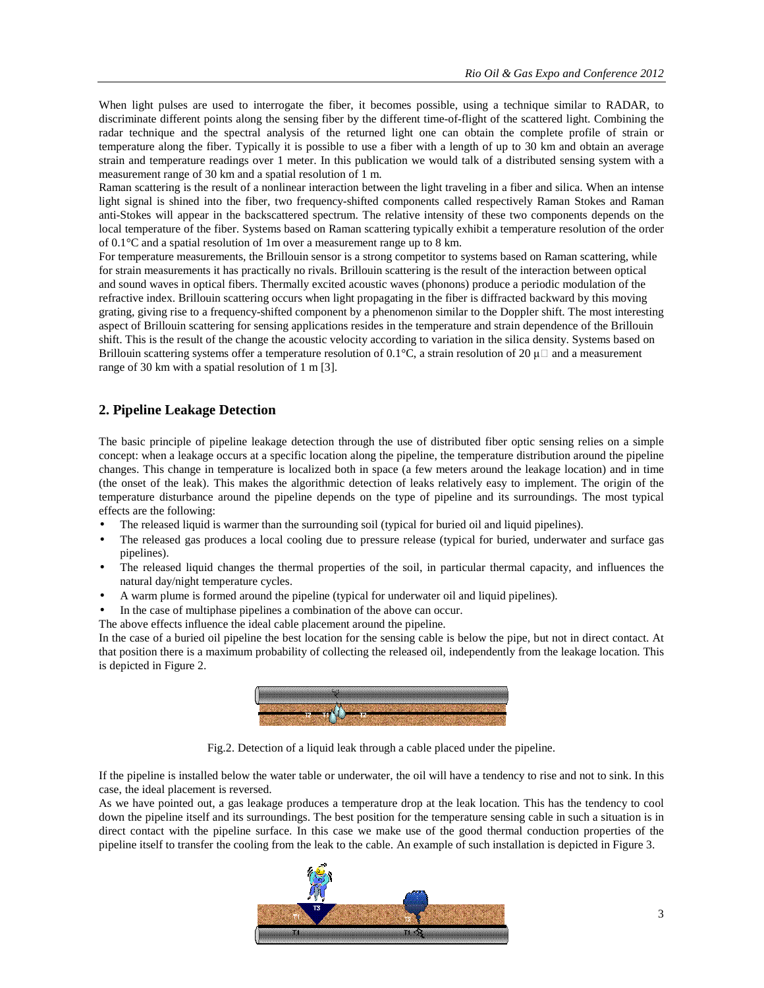When light pulses are used to interrogate the fiber, it becomes possible, using a technique similar to RADAR, to discriminate different points along the sensing fiber by the different time-of-flight of the scattered light. Combining the radar technique and the spectral analysis of the returned light one can obtain the complete profile of strain or temperature along the fiber. Typically it is possible to use a fiber with a length of up to 30 km and obtain an average strain and temperature readings over 1 meter. In this publication we would talk of a distributed sensing system with a measurement range of 30 km and a spatial resolution of 1 m.

Raman scattering is the result of a nonlinear interaction between the light traveling in a fiber and silica. When an intense light signal is shined into the fiber, two frequency-shifted components called respectively Raman Stokes and Raman anti-Stokes will appear in the backscattered spectrum. The relative intensity of these two components depends on the local temperature of the fiber. Systems based on Raman scattering typically exhibit a temperature resolution of the order of 0.1°C and a spatial resolution of 1m over a measurement range up to 8 km.

For temperature measurements, the Brillouin sensor is a strong competitor to systems based on Raman scattering, while for strain measurements it has practically no rivals. Brillouin scattering is the result of the interaction between optical and sound waves in optical fibers. Thermally excited acoustic waves (phonons) produce a periodic modulation of the refractive index. Brillouin scattering occurs when light propagating in the fiber is diffracted backward by this moving grating, giving rise to a frequency-shifted component by a phenomenon similar to the Doppler shift. The most interesting aspect of Brillouin scattering for sensing applications resides in the temperature and strain dependence of the Brillouin shift. This is the result of the change the acoustic velocity according to variation in the silica density. Systems based on Brillouin scattering systems offer a temperature resolution of 0.1°C, a strain resolution of 20  $\mu$  and a measurement range of 30 km with a spatial resolution of 1 m [3].

#### **2. Pipeline Leakage Detection**

The basic principle of pipeline leakage detection through the use of distributed fiber optic sensing relies on a simple concept: when a leakage occurs at a specific location along the pipeline, the temperature distribution around the pipeline changes. This change in temperature is localized both in space (a few meters around the leakage location) and in time (the onset of the leak). This makes the algorithmic detection of leaks relatively easy to implement. The origin of the temperature disturbance around the pipeline depends on the type of pipeline and its surroundings. The most typical effects are the following:

- The released liquid is warmer than the surrounding soil (typical for buried oil and liquid pipelines).
- The released gas produces a local cooling due to pressure release (typical for buried, underwater and surface gas pipelines).
- The released liquid changes the thermal properties of the soil, in particular thermal capacity, and influences the natural day/night temperature cycles.
- A warm plume is formed around the pipeline (typical for underwater oil and liquid pipelines).
- In the case of multiphase pipelines a combination of the above can occur.
- The above effects influence the ideal cable placement around the pipeline.

In the case of a buried oil pipeline the best location for the sensing cable is below the pipe, but not in direct contact. At that position there is a maximum probability of collecting the released oil, independently from the leakage location. This is depicted in Figure 2.



Fig.2. Detection of a liquid leak through a cable placed under the pipeline.

If the pipeline is installed below the water table or underwater, the oil will have a tendency to rise and not to sink. In this case, the ideal placement is reversed.

As we have pointed out, a gas leakage produces a temperature drop at the leak location. This has the tendency to cool down the pipeline itself and its surroundings. The best position for the temperature sensing cable in such a situation is in direct contact with the pipeline surface. In this case we make use of the good thermal conduction properties of the pipeline itself to transfer the cooling from the leak to the cable. An example of such installation is depicted in Figure 3.

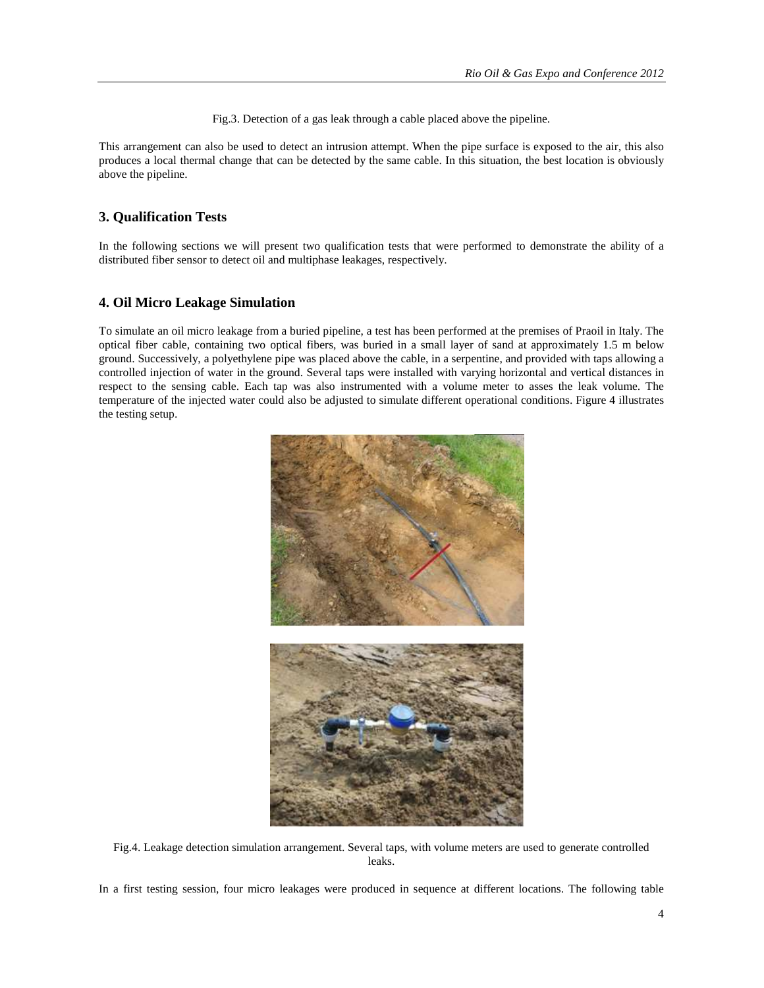Fig.3. Detection of a gas leak through a cable placed above the pipeline.

This arrangement can also be used to detect an intrusion attempt. When the pipe surface is exposed to the air, this also produces a local thermal change that can be detected by the same cable. In this situation, the best location is obviously above the pipeline.

### **3. Qualification Tests**

In the following sections we will present two qualification tests that were performed to demonstrate the ability of a distributed fiber sensor to detect oil and multiphase leakages, respectively.

#### **4. Oil Micro Leakage Simulation**

To simulate an oil micro leakage from a buried pipeline, a test has been performed at the premises of Praoil in Italy. The optical fiber cable, containing two optical fibers, was buried in a small layer of sand at approximately 1.5 m below ground. Successively, a polyethylene pipe was placed above the cable, in a serpentine, and provided with taps allowing a controlled injection of water in the ground. Several taps were installed with varying horizontal and vertical distances in respect to the sensing cable. Each tap was also instrumented with a volume meter to asses the leak volume. The temperature of the injected water could also be adjusted to simulate different operational conditions. Figure 4 illustrates the testing setup.



Fig.4. Leakage detection simulation arrangement. Several taps, with volume meters are used to generate controlled leaks.

In a first testing session, four micro leakages were produced in sequence at different locations. The following table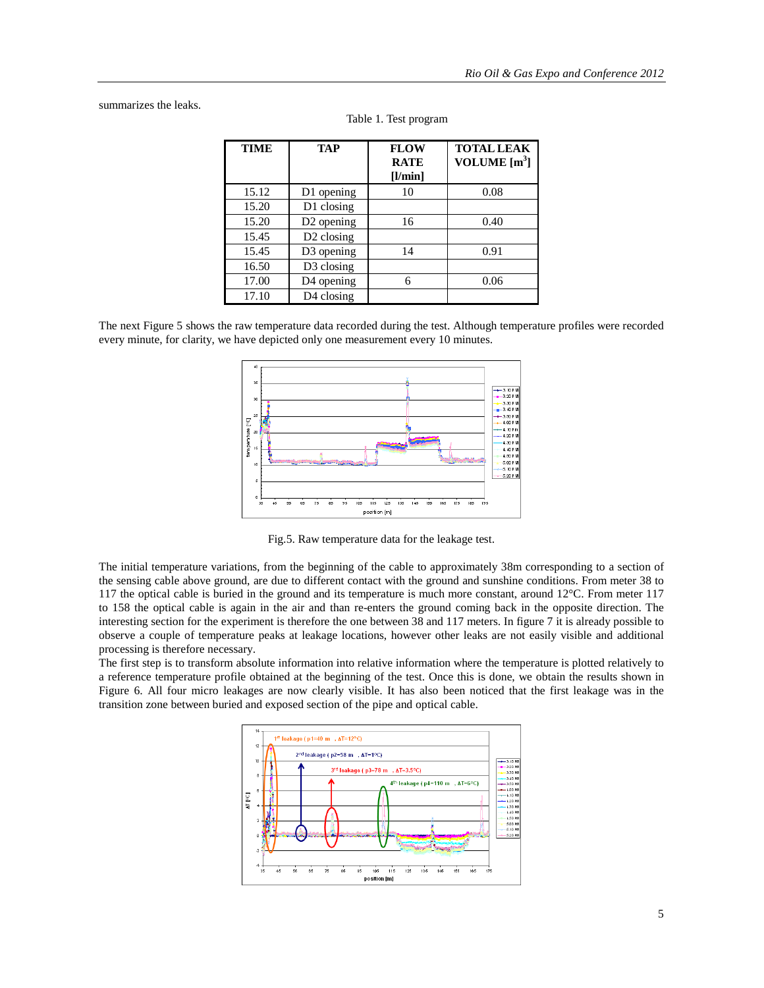summarizes the leaks.

| <b>TIME</b> | <b>TAP</b>             | <b>FLOW</b><br><b>RATE</b><br>[1/min] | <b>TOTAL LEAK</b><br>VOLUME $[m^3]$ |
|-------------|------------------------|---------------------------------------|-------------------------------------|
| 15.12       | D1 opening             | 10                                    | 0.08                                |
| 15.20       | D1 closing             |                                       |                                     |
| 15.20       | D <sub>2</sub> opening | 16                                    | 0.40                                |
| 15.45       | D <sub>2</sub> closing |                                       |                                     |
| 15.45       | D <sub>3</sub> opening | 14                                    | 0.91                                |
| 16.50       | D <sub>3</sub> closing |                                       |                                     |
| 17.00       | D <sub>4</sub> opening | 6                                     | 0.06                                |
| 17.10       | D4 closing             |                                       |                                     |

Table 1. Test program

The next Figure 5 shows the raw temperature data recorded during the test. Although temperature profiles were recorded every minute, for clarity, we have depicted only one measurement every 10 minutes.



Fig.5. Raw temperature data for the leakage test.

The initial temperature variations, from the beginning of the cable to approximately 38m corresponding to a section of the sensing cable above ground, are due to different contact with the ground and sunshine conditions. From meter 38 to 117 the optical cable is buried in the ground and its temperature is much more constant, around 12°C. From meter 117 to 158 the optical cable is again in the air and than re-enters the ground coming back in the opposite direction. The interesting section for the experiment is therefore the one between 38 and 117 meters. In figure 7 it is already possible to observe a couple of temperature peaks at leakage locations, however other leaks are not easily visible and additional processing is therefore necessary.

The first step is to transform absolute information into relative information where the temperature is plotted relatively to a reference temperature profile obtained at the beginning of the test. Once this is done, we obtain the results shown in Figure 6. All four micro leakages are now clearly visible. It has also been noticed that the first leakage was in the transition zone between buried and exposed section of the pipe and optical cable.

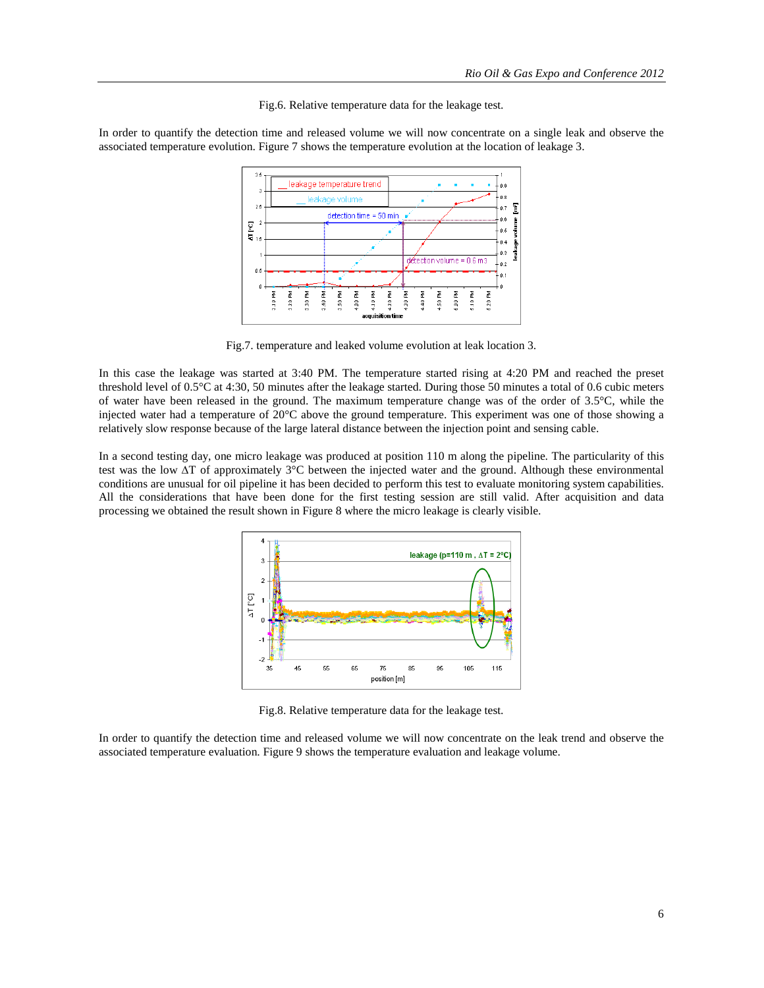Fig.6. Relative temperature data for the leakage test.

In order to quantify the detection time and released volume we will now concentrate on a single leak and observe the associated temperature evolution. Figure 7 shows the temperature evolution at the location of leakage 3.



Fig.7. temperature and leaked volume evolution at leak location 3.

In this case the leakage was started at 3:40 PM. The temperature started rising at 4:20 PM and reached the preset threshold level of 0.5°C at 4:30, 50 minutes after the leakage started. During those 50 minutes a total of 0.6 cubic meters of water have been released in the ground. The maximum temperature change was of the order of 3.5°C, while the injected water had a temperature of 20°C above the ground temperature. This experiment was one of those showing a relatively slow response because of the large lateral distance between the injection point and sensing cable.

In a second testing day, one micro leakage was produced at position 110 m along the pipeline. The particularity of this test was the low ∆T of approximately 3°C between the injected water and the ground. Although these environmental conditions are unusual for oil pipeline it has been decided to perform this test to evaluate monitoring system capabilities. All the considerations that have been done for the first testing session are still valid. After acquisition and data processing we obtained the result shown in Figure 8 where the micro leakage is clearly visible.



Fig.8. Relative temperature data for the leakage test.

In order to quantify the detection time and released volume we will now concentrate on the leak trend and observe the associated temperature evaluation. Figure 9 shows the temperature evaluation and leakage volume.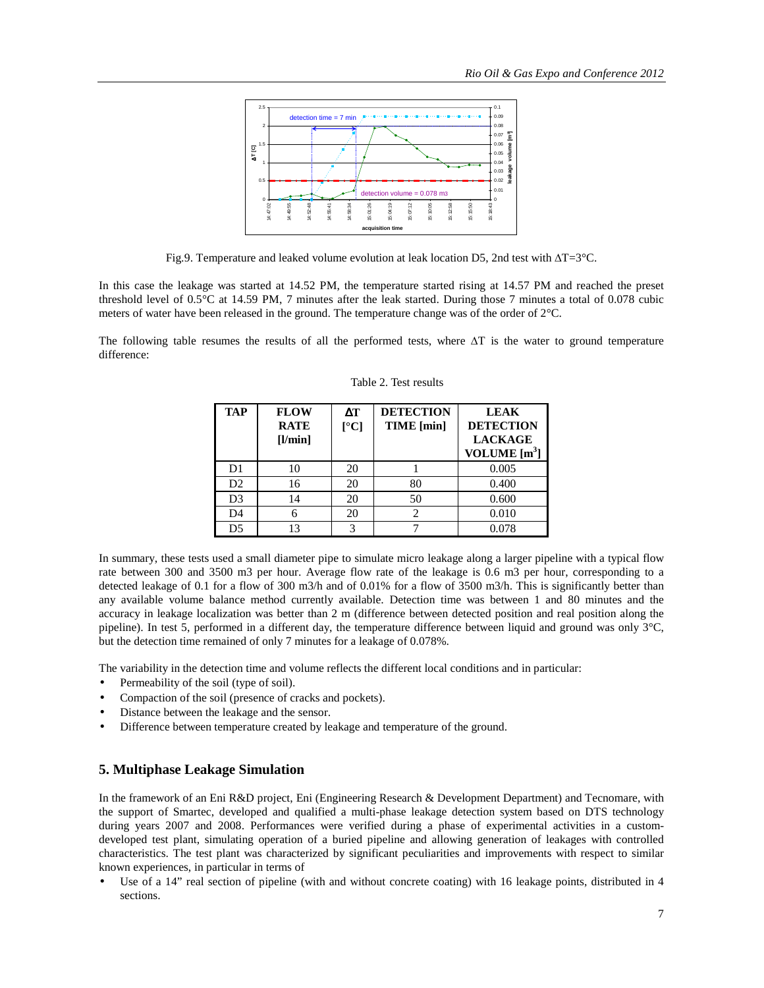

Fig.9. Temperature and leaked volume evolution at leak location D5, 2nd test with ∆T=3°C.

In this case the leakage was started at 14.52 PM, the temperature started rising at 14.57 PM and reached the preset threshold level of 0.5°C at 14.59 PM, 7 minutes after the leak started. During those 7 minutes a total of 0.078 cubic meters of water have been released in the ground. The temperature change was of the order of 2°C.

The following table resumes the results of all the performed tests, where  $\Delta T$  is the water to ground temperature difference:

| <b>TAP</b> | <b>FLOW</b><br><b>RATE</b><br>[1/min] | ΔT<br>[°C] | <b>DETECTION</b><br><b>TIME</b> [min] | <b>LEAK</b><br><b>DETECTION</b><br><b>LACKAGE</b><br>VOLUME $[m^3]$ |
|------------|---------------------------------------|------------|---------------------------------------|---------------------------------------------------------------------|
| D1         | 10                                    | 20         |                                       | 0.005                                                               |
| D2         | 16                                    | 20         | 80                                    | 0.400                                                               |
| D3         | 14                                    | 20         | 50                                    | 0.600                                                               |
| D4         |                                       | 20         | $\mathfrak{D}$                        | 0.010                                                               |
| D5         | 13                                    |            |                                       | 0.078                                                               |

Table 2. Test results

In summary, these tests used a small diameter pipe to simulate micro leakage along a larger pipeline with a typical flow rate between 300 and 3500 m3 per hour. Average flow rate of the leakage is 0.6 m3 per hour, corresponding to a detected leakage of 0.1 for a flow of 300 m3/h and of 0.01% for a flow of 3500 m3/h. This is significantly better than any available volume balance method currently available. Detection time was between 1 and 80 minutes and the accuracy in leakage localization was better than 2 m (difference between detected position and real position along the pipeline). In test 5, performed in a different day, the temperature difference between liquid and ground was only 3°C, but the detection time remained of only 7 minutes for a leakage of 0.078%.

The variability in the detection time and volume reflects the different local conditions and in particular:

- Permeability of the soil (type of soil).
- Compaction of the soil (presence of cracks and pockets).
- Distance between the leakage and the sensor.
- Difference between temperature created by leakage and temperature of the ground.

#### **5. Multiphase Leakage Simulation**

In the framework of an Eni R&D project, Eni (Engineering Research & Development Department) and Tecnomare, with the support of Smartec, developed and qualified a multi-phase leakage detection system based on DTS technology during years 2007 and 2008. Performances were verified during a phase of experimental activities in a customdeveloped test plant, simulating operation of a buried pipeline and allowing generation of leakages with controlled characteristics. The test plant was characterized by significant peculiarities and improvements with respect to similar known experiences, in particular in terms of

• Use of a 14" real section of pipeline (with and without concrete coating) with 16 leakage points, distributed in 4 sections.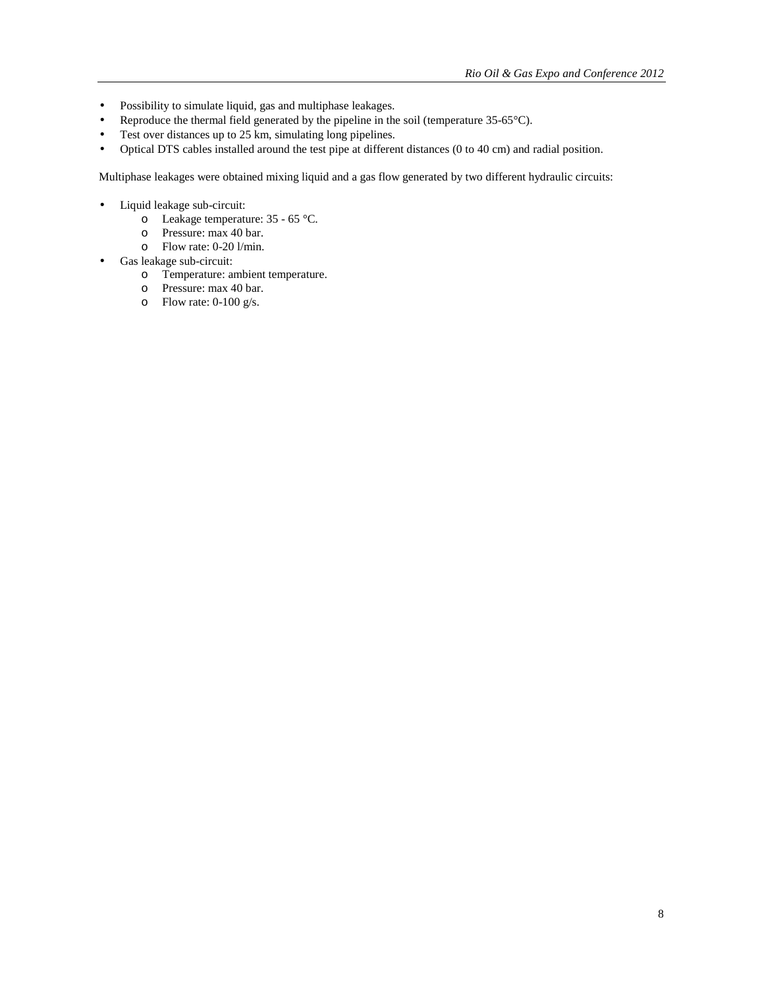- Possibility to simulate liquid, gas and multiphase leakages.
- Reproduce the thermal field generated by the pipeline in the soil (temperature 35-65°C).
- Test over distances up to 25 km, simulating long pipelines.
- Optical DTS cables installed around the test pipe at different distances (0 to 40 cm) and radial position.

Multiphase leakages were obtained mixing liquid and a gas flow generated by two different hydraulic circuits:

- Liquid leakage sub-circuit:
	- o Leakage temperature: 35 65 °C.
	- o Pressure: max 40 bar.
	- o Flow rate: 0-20 l/min.
- Gas leakage sub-circuit:
	- o Temperature: ambient temperature.
	- o Pressure: max 40 bar.
	- o Flow rate: 0-100 g/s.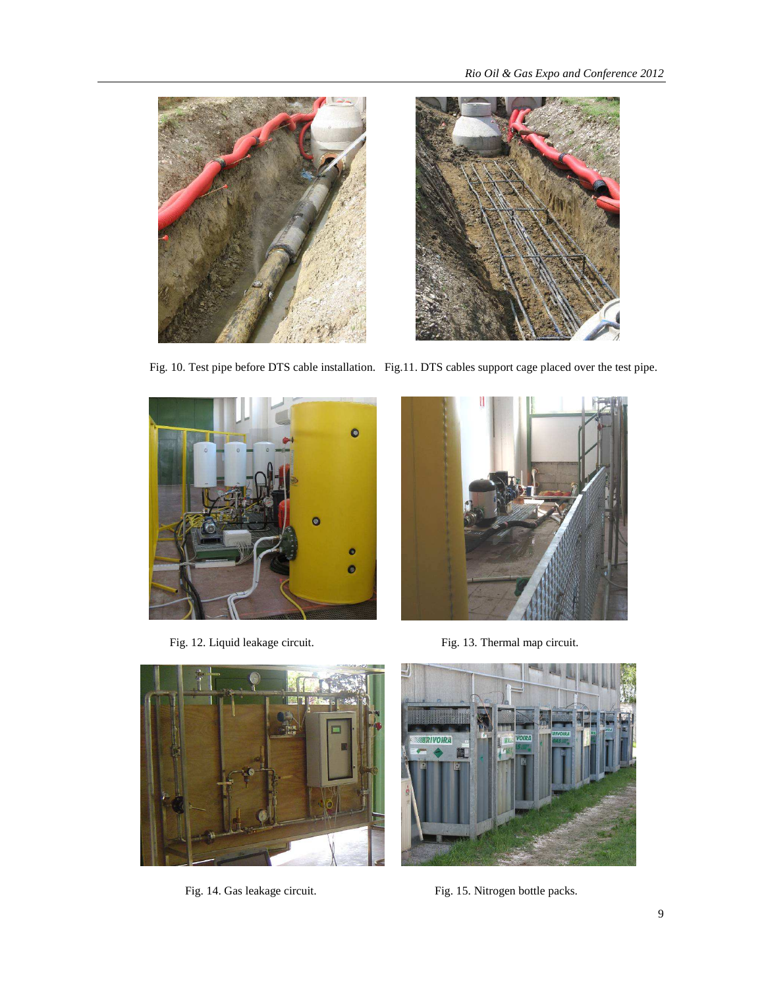

Fig. 10. Test pipe before DTS cable installation. Fig.11. DTS cables support cage placed over the test pipe.



Fig. 12. Liquid leakage circuit. Fig. 13. Thermal map circuit.







Fig. 14. Gas leakage circuit. Fig. 15. Nitrogen bottle packs.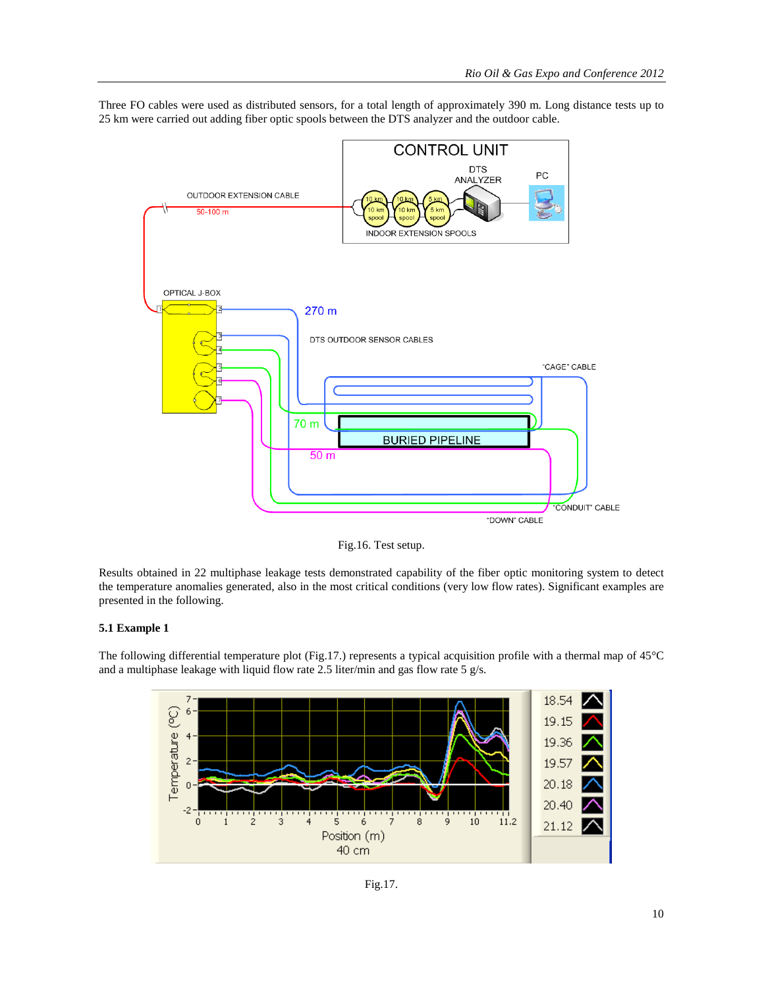"CAGE" CABLE



DTS OUTDOOR SENSOR CABLES

270 m

Three FO cables were used as distributed sensors, for a total length of approximately 390 m. Long distance tests up to 25 km were carried out adding fiber optic spools between the DTS analyzer and the outdoor cable.



Fig.16. Test setup.

Results obtained in 22 multiphase leakage tests demonstrated capability of the fiber optic monitoring system to detect the temperature anomalies generated, also in the most critical conditions (very low flow rates). Significant examples are presented in the following.

#### **5.1 Example 1**

OPTICAL J-BOX

The following differential temperature plot (Fig.17.) represents a typical acquisition profile with a thermal map of 45°C and a multiphase leakage with liquid flow rate 2.5 liter/min and gas flow rate 5 g/s.



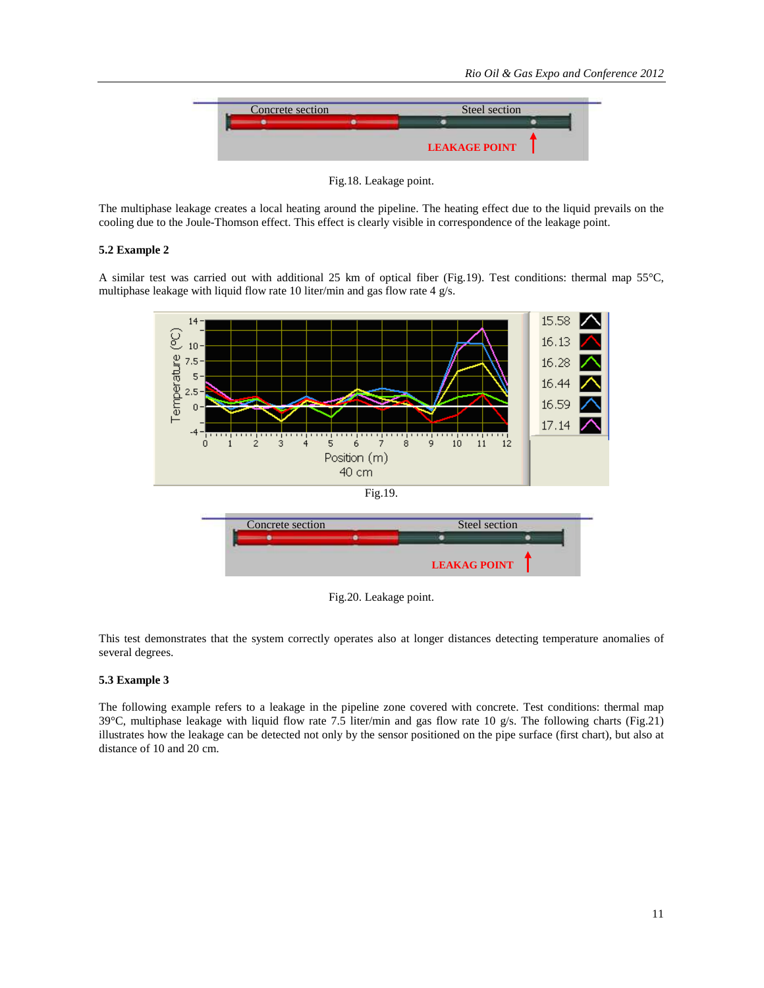

Fig.18. Leakage point.

The multiphase leakage creates a local heating around the pipeline. The heating effect due to the liquid prevails on the cooling due to the Joule-Thomson effect. This effect is clearly visible in correspondence of the leakage point.

#### **5.2 Example 2**

A similar test was carried out with additional 25 km of optical fiber (Fig.19). Test conditions: thermal map 55°C, multiphase leakage with liquid flow rate 10 liter/min and gas flow rate 4 g/s.



Fig.20. Leakage point.

This test demonstrates that the system correctly operates also at longer distances detecting temperature anomalies of several degrees.

#### **5.3 Example 3**

The following example refers to a leakage in the pipeline zone covered with concrete. Test conditions: thermal map 39°C, multiphase leakage with liquid flow rate 7.5 liter/min and gas flow rate 10 g/s. The following charts (Fig.21) illustrates how the leakage can be detected not only by the sensor positioned on the pipe surface (first chart), but also at distance of 10 and 20 cm.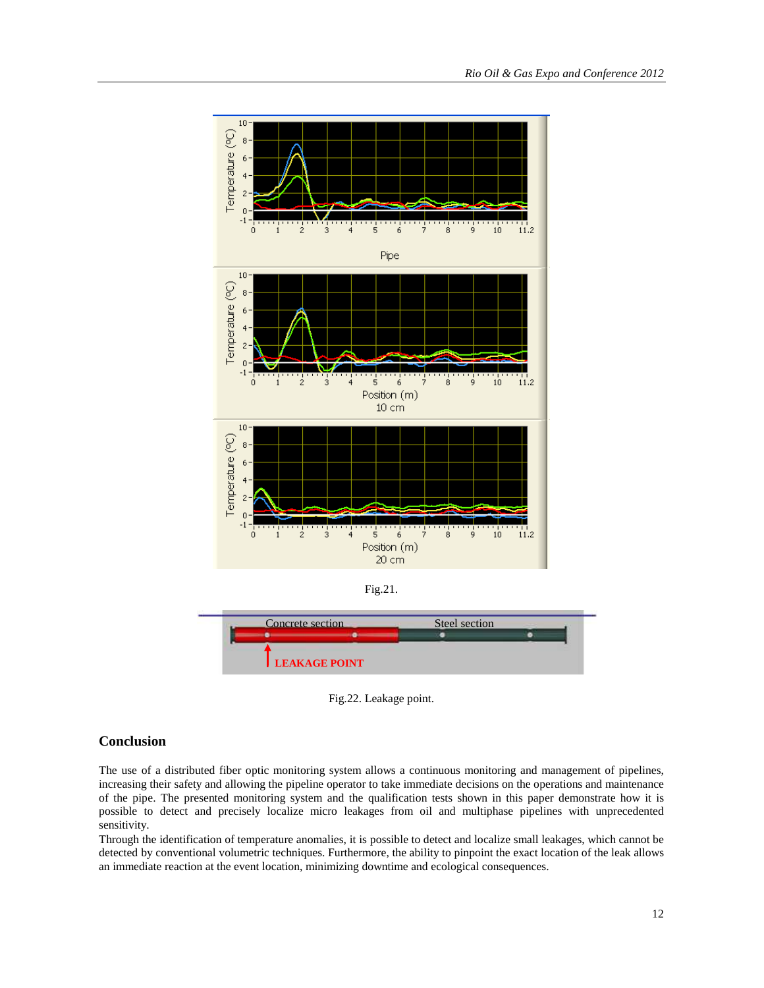





Fig.22. Leakage point.

## **Conclusion**

The use of a distributed fiber optic monitoring system allows a continuous monitoring and management of pipelines, increasing their safety and allowing the pipeline operator to take immediate decisions on the operations and maintenance of the pipe. The presented monitoring system and the qualification tests shown in this paper demonstrate how it is possible to detect and precisely localize micro leakages from oil and multiphase pipelines with unprecedented sensitivity.

Through the identification of temperature anomalies, it is possible to detect and localize small leakages, which cannot be detected by conventional volumetric techniques. Furthermore, the ability to pinpoint the exact location of the leak allows an immediate reaction at the event location, minimizing downtime and ecological consequences.